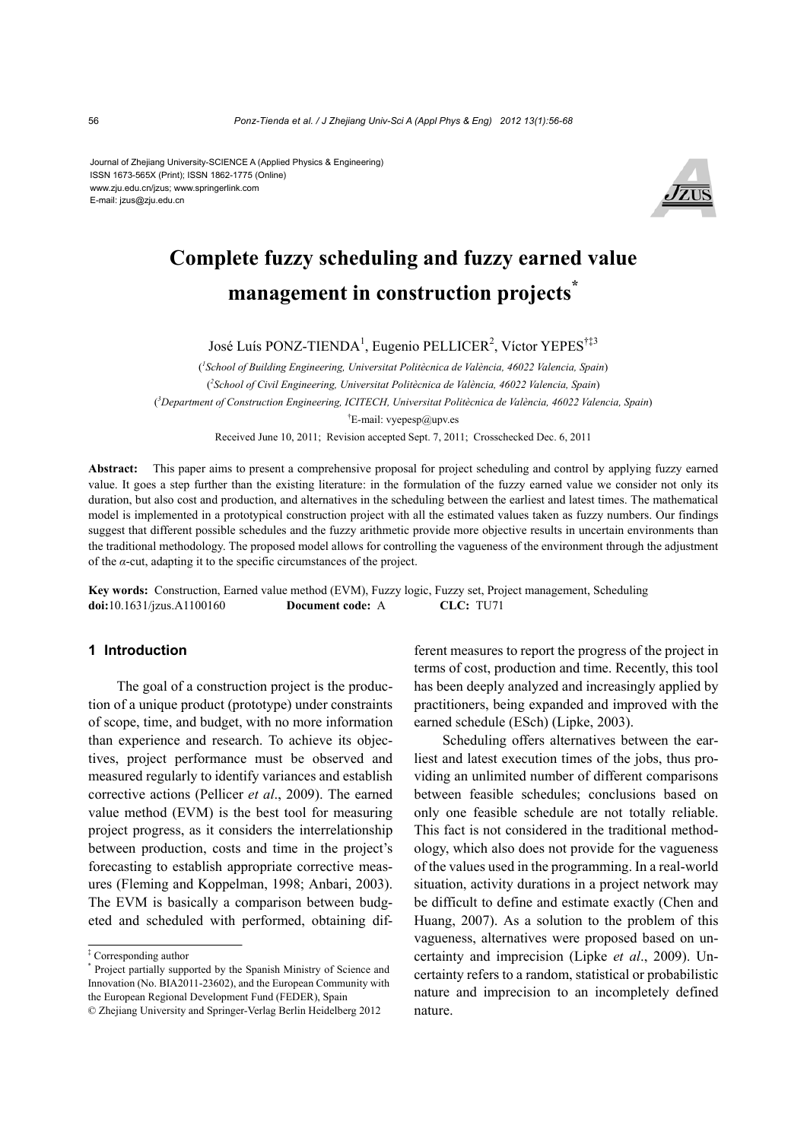Journal of Zhejiang University-SCIENCE A (Applied Physics & Engineering) ISSN 1673-565X (Print); ISSN 1862-1775 (Online) www.zju.edu.cn/jzus; www.springerlink.com E-mail: jzus@zju.edu.cn



# **Complete fuzzy scheduling and fuzzy earned value management in construction projects\***

José Luís PONZ-TIENDA<sup>1</sup>, Eugenio PELLICER<sup>2</sup>, Víctor YEPES<sup>†‡3</sup>

( *1 School of Building Engineering, Universitat Politècnica de València, 46022 Valencia, Spain*) ( *2 School of Civil Engineering, Universitat Politècnica de València, 46022 Valencia, Spain*) ( *3 Department of Construction Engineering, ICITECH, Universitat Politècnica de València, 46022 Valencia, Spain*) † E-mail: vyepesp@upv.es

Received June 10, 2011; Revision accepted Sept. 7, 2011; Crosschecked Dec. 6, 2011

**Abstract:** This paper aims to present a comprehensive proposal for project scheduling and control by applying fuzzy earned value. It goes a step further than the existing literature: in the formulation of the fuzzy earned value we consider not only its duration, but also cost and production, and alternatives in the scheduling between the earliest and latest times. The mathematical model is implemented in a prototypical construction project with all the estimated values taken as fuzzy numbers. Our findings suggest that different possible schedules and the fuzzy arithmetic provide more objective results in uncertain environments than the traditional methodology. The proposed model allows for controlling the vagueness of the environment through the adjustment of the *α*-cut, adapting it to the specific circumstances of the project.

**Key words:** Construction, Earned value method (EVM), Fuzzy logic, Fuzzy set, Project management, Scheduling **doi:**10.1631/jzus.A1100160 **Document code:** A **CLC:** TU71

#### **1 Introduction**

The goal of a construction project is the production of a unique product (prototype) under constraints of scope, time, and budget, with no more information than experience and research. To achieve its objectives, project performance must be observed and measured regularly to identify variances and establish corrective actions (Pellicer *et al*., 2009). The earned value method (EVM) is the best tool for measuring project progress, as it considers the interrelationship between production, costs and time in the project's forecasting to establish appropriate corrective measures (Fleming and Koppelman, 1998; Anbari, 2003). The EVM is basically a comparison between budgeted and scheduled with performed, obtaining different measures to report the progress of the project in terms of cost, production and time. Recently, this tool has been deeply analyzed and increasingly applied by practitioners, being expanded and improved with the earned schedule (ESch) (Lipke, 2003).

Scheduling offers alternatives between the earliest and latest execution times of the jobs, thus providing an unlimited number of different comparisons between feasible schedules; conclusions based on only one feasible schedule are not totally reliable. This fact is not considered in the traditional methodology, which also does not provide for the vagueness of the values used in the programming. In a real-world situation, activity durations in a project network may be difficult to define and estimate exactly (Chen and Huang, 2007). As a solution to the problem of this vagueness, alternatives were proposed based on uncertainty and imprecision (Lipke *et al*., 2009). Uncertainty refers to a random, statistical or probabilistic nature and imprecision to an incompletely defined nature.

<sup>‡</sup> Corresponding author

<sup>\*</sup> Project partially supported by the Spanish Ministry of Science and Innovation (No. BIA2011-23602), and the European Community with the European Regional Development Fund (FEDER), Spain

<sup>©</sup> Zhejiang University and Springer-Verlag Berlin Heidelberg 2012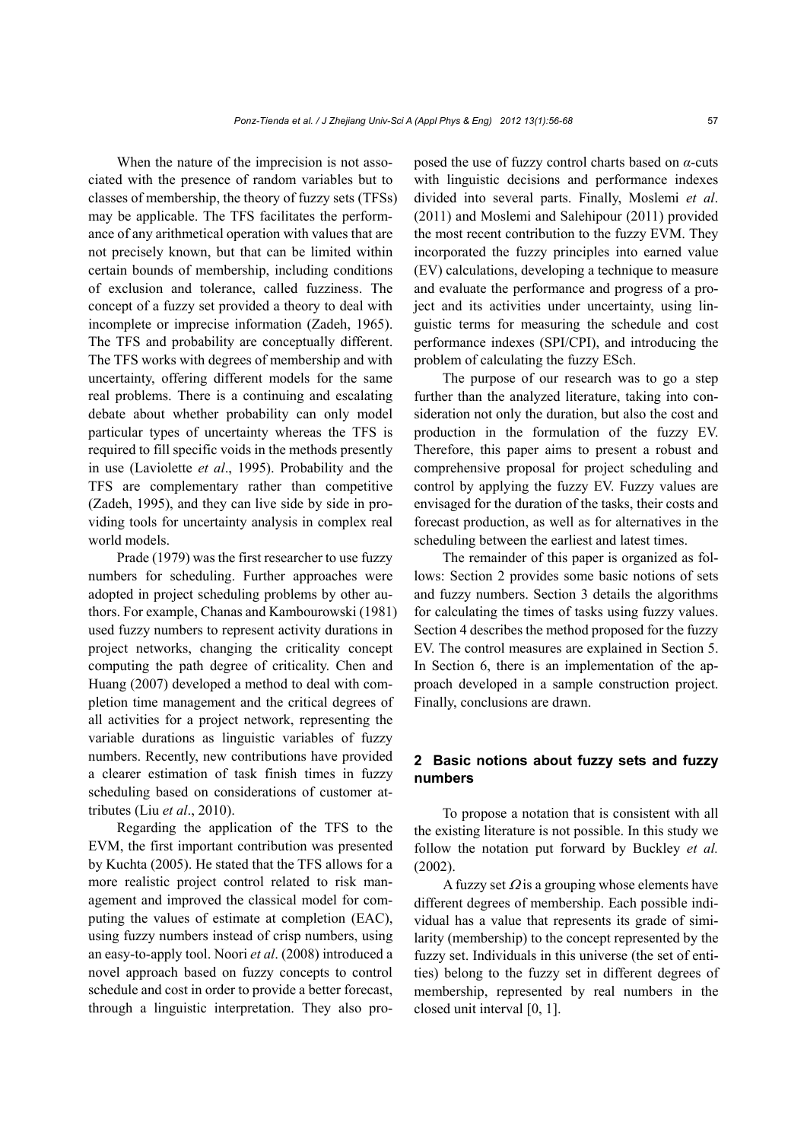When the nature of the imprecision is not associated with the presence of random variables but to classes of membership, the theory of fuzzy sets (TFSs) may be applicable. The TFS facilitates the performance of any arithmetical operation with values that are not precisely known, but that can be limited within certain bounds of membership, including conditions of exclusion and tolerance, called fuzziness. The concept of a fuzzy set provided a theory to deal with incomplete or imprecise information (Zadeh, 1965). The TFS and probability are conceptually different. The TFS works with degrees of membership and with uncertainty, offering different models for the same real problems. There is a continuing and escalating debate about whether probability can only model particular types of uncertainty whereas the TFS is required to fill specific voids in the methods presently in use (Laviolette *et al*., 1995). Probability and the TFS are complementary rather than competitive (Zadeh, 1995), and they can live side by side in providing tools for uncertainty analysis in complex real world models.

Prade (1979) was the first researcher to use fuzzy numbers for scheduling. Further approaches were adopted in project scheduling problems by other authors. For example, Chanas and Kambourowski (1981) used fuzzy numbers to represent activity durations in project networks, changing the criticality concept computing the path degree of criticality. Chen and Huang (2007) developed a method to deal with completion time management and the critical degrees of all activities for a project network, representing the variable durations as linguistic variables of fuzzy numbers. Recently, new contributions have provided a clearer estimation of task finish times in fuzzy scheduling based on considerations of customer attributes (Liu *et al*., 2010).

Regarding the application of the TFS to the EVM, the first important contribution was presented by Kuchta (2005). He stated that the TFS allows for a more realistic project control related to risk management and improved the classical model for computing the values of estimate at completion (EAC), using fuzzy numbers instead of crisp numbers, using an easy-to-apply tool. Noori *et al*. (2008) introduced a novel approach based on fuzzy concepts to control schedule and cost in order to provide a better forecast, through a linguistic interpretation. They also proposed the use of fuzzy control charts based on *α*-cuts with linguistic decisions and performance indexes divided into several parts. Finally, Moslemi *et al*. (2011) and Moslemi and Salehipour (2011) provided the most recent contribution to the fuzzy EVM. They incorporated the fuzzy principles into earned value (EV) calculations, developing a technique to measure and evaluate the performance and progress of a project and its activities under uncertainty, using linguistic terms for measuring the schedule and cost performance indexes (SPI/CPI), and introducing the problem of calculating the fuzzy ESch.

The purpose of our research was to go a step further than the analyzed literature, taking into consideration not only the duration, but also the cost and production in the formulation of the fuzzy EV. Therefore, this paper aims to present a robust and comprehensive proposal for project scheduling and control by applying the fuzzy EV. Fuzzy values are envisaged for the duration of the tasks, their costs and forecast production, as well as for alternatives in the scheduling between the earliest and latest times.

The remainder of this paper is organized as follows: Section 2 provides some basic notions of sets and fuzzy numbers. Section 3 details the algorithms for calculating the times of tasks using fuzzy values. Section 4 describes the method proposed for the fuzzy EV. The control measures are explained in Section 5. In Section 6, there is an implementation of the approach developed in a sample construction project. Finally, conclusions are drawn.

## **2 Basic notions about fuzzy sets and fuzzy numbers**

To propose a notation that is consistent with all the existing literature is not possible. In this study we follow the notation put forward by Buckley *et al.* (2002).

A fuzzy set  $\Omega$  is a grouping whose elements have different degrees of membership. Each possible individual has a value that represents its grade of similarity (membership) to the concept represented by the fuzzy set. Individuals in this universe (the set of entities) belong to the fuzzy set in different degrees of membership, represented by real numbers in the closed unit interval [0, 1].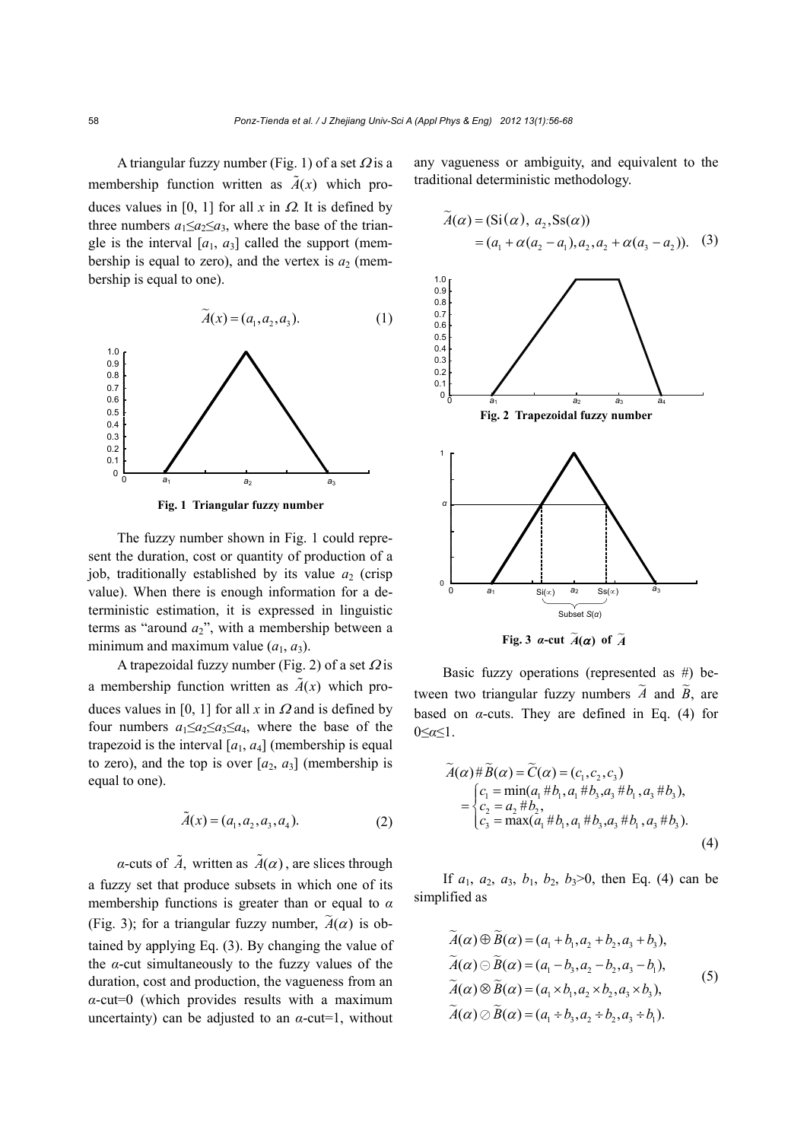A triangular fuzzy number (Fig. 1) of a set  $\Omega$  is a membership function written as  $\tilde{A}(x)$  which produces values in [0, 1] for all  $x$  in  $\Omega$ . It is defined by three numbers  $a_1 \le a_2 \le a_3$ , where the base of the triangle is the interval  $[a_1, a_3]$  called the support (membership is equal to zero), and the vertex is  $a_2$  (membership is equal to one).

$$
\widetilde{A}(x) = (a_1, a_2, a_3). \tag{1}
$$



**Fig. 1 Triangular fuzzy number**

The fuzzy number shown in Fig. 1 could represent the duration, cost or quantity of production of a job, traditionally established by its value  $a_2$  (crisp value). When there is enough information for a deterministic estimation, it is expressed in linguistic terms as "around  $a_2$ ", with a membership between a minimum and maximum value  $(a_1, a_3)$ .

A trapezoidal fuzzy number (Fig. 2) of a set  $\Omega$  is a membership function written as  $\tilde{A}(x)$  which produces values in [0, 1] for all  $x$  in  $\Omega$  and is defined by four numbers  $a_1 \le a_2 \le a_3 \le a_4$ , where the base of the trapezoid is the interval  $[a_1, a_4]$  (membership is equal to zero), and the top is over  $[a_2, a_3]$  (membership is equal to one).

$$
\tilde{A}(x) = (a_1, a_2, a_3, a_4). \tag{2}
$$

*α*-cuts of  $\tilde{A}$ , written as  $\tilde{A}(\alpha)$ , are slices through a fuzzy set that produce subsets in which one of its membership functions is greater than or equal to *α* (Fig. 3); for a triangular fuzzy number,  $\tilde{A}(\alpha)$  is obtained by applying Eq. (3). By changing the value of the  $\alpha$ -cut simultaneously to the fuzzy values of the duration, cost and production, the vagueness from an *α*-cut=0 (which provides results with a maximum uncertainty) can be adjusted to an  $\alpha$ -cut=1, without any vagueness or ambiguity, and equivalent to the traditional deterministic methodology.

$$
\widetilde{A}(\alpha) = (\text{Si}(\alpha), a_2, \text{Ss}(\alpha)) \n= (a_1 + \alpha(a_2 - a_1), a_2, a_2 + \alpha(a_3 - a_2)).
$$
\n(3)



Basic fuzzy operations (represented as #) between two triangular fuzzy numbers  $\tilde{A}$  and  $\tilde{B}$ , are based on  $\alpha$ -cuts. They are defined in Eq. (4) for 0≤*α*≤1.

$$
\widetilde{A}(\alpha) \# \widetilde{B}(\alpha) = \widetilde{C}(\alpha) = (c_1, c_2, c_3)
$$
\n
$$
= \begin{cases}\nc_1 = \min(a_1 \# b_1, a_1 \# b_3, a_3 \# b_1, a_3 \# b_3), \\
c_2 = a_2 \# b_2, \\
c_3 = \max(a_1 \# b_1, a_1 \# b_3, a_3 \# b_1, a_3 \# b_3).\n\end{cases}
$$
\n(4)

If  $a_1$ ,  $a_2$ ,  $a_3$ ,  $b_1$ ,  $b_2$ ,  $b_3$ >0, then Eq. (4) can be simplified as

$$
\widetilde{A}(\alpha) \oplus \widetilde{B}(\alpha) = (a_1 + b_1, a_2 + b_2, a_3 + b_3),
$$
  
\n
$$
\widetilde{A}(\alpha) \ominus \widetilde{B}(\alpha) = (a_1 - b_3, a_2 - b_2, a_3 - b_1),
$$
  
\n
$$
\widetilde{A}(\alpha) \otimes \widetilde{B}(\alpha) = (a_1 \times b_1, a_2 \times b_2, a_3 \times b_3),
$$
  
\n
$$
\widetilde{A}(\alpha) \oslash \widetilde{B}(\alpha) = (a_1 + b_3, a_2 + b_2, a_3 + b_1).
$$
\n(5)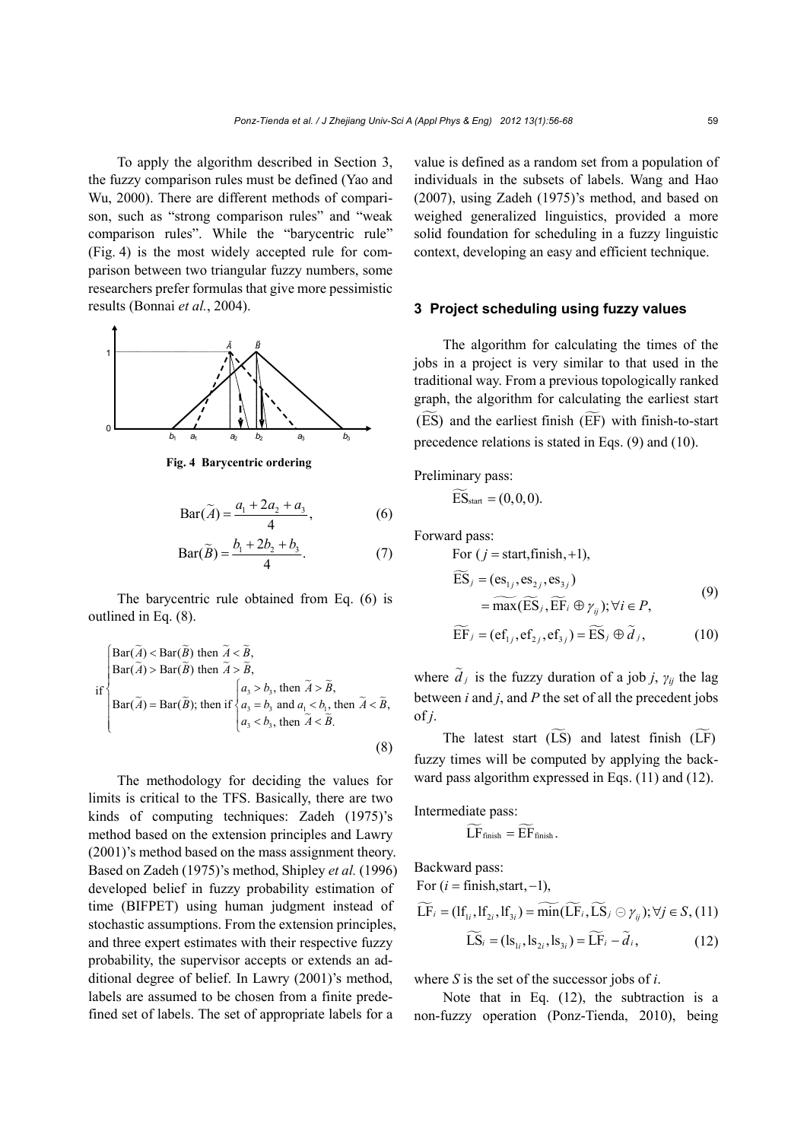To apply the algorithm described in Section 3, the fuzzy comparison rules must be defined (Yao and Wu, 2000). There are different methods of comparison, such as "strong comparison rules" and "weak comparison rules". While the "barycentric rule" (Fig. 4) is the most widely accepted rule for comparison between two triangular fuzzy numbers, some researchers prefer formulas that give more pessimistic results (Bonnai *et al.*, 2004).



**Fig. 4 Barycentric ordering** 

$$
Bar(\widetilde{A}) = \frac{a_1 + 2a_2 + a_3}{4},
$$
 (6)

$$
Bar(\widetilde{B}) = \frac{b_1 + 2b_2 + b_3}{4}.
$$
 (7)

The barycentric rule obtained from Eq. (6) is outlined in Eq. (8).

$$
\begin{cases}\n\text{Bar}(\widetilde{A}) < \text{Bar}(\widetilde{B}) \text{ then } \widetilde{A} < \widetilde{B}, \\
\text{Bar}(\widetilde{A}) > \text{Bar}(\widetilde{B}) \text{ then } \widetilde{A} > \widetilde{B}, \\
\text{Bar}(\widetilde{A}) = \text{Bar}(\widetilde{B}); \text{ then if } \begin{cases} a_3 > b_3 \text{, then } \widetilde{A} > \widetilde{B}, \\
 a_3 > b_3 \text{ and } a_1 < b_1 \text{, then } \widetilde{A} < \widetilde{B}, \\
 a_3 < b_3 \text{, then } \widetilde{A} < \widetilde{B}.\n\end{cases}\n\end{cases}
$$
\n(8)

The methodology for deciding the values for limits is critical to the TFS. Basically, there are two kinds of computing techniques: Zadeh (1975)'s method based on the extension principles and Lawry (2001)'s method based on the mass assignment theory. Based on Zadeh (1975)'s method, Shipley *et al.* (1996) developed belief in fuzzy probability estimation of time (BIFPET) using human judgment instead of stochastic assumptions. From the extension principles, and three expert estimates with their respective fuzzy probability, the supervisor accepts or extends an additional degree of belief. In Lawry (2001)'s method, labels are assumed to be chosen from a finite predefined set of labels. The set of appropriate labels for a

value is defined as a random set from a population of individuals in the subsets of labels. Wang and Hao (2007), using Zadeh (1975)'s method, and based on weighed generalized linguistics, provided a more solid foundation for scheduling in a fuzzy linguistic context, developing an easy and efficient technique.

#### **3 Project scheduling using fuzzy values**

The algorithm for calculating the times of the jobs in a project is very similar to that used in the traditional way. From a previous topologically ranked graph, the algorithm for calculating the earliest start (ES) and the earliest finish (EF) with finish-to-start precedence relations is stated in Eqs. (9) and (10).

Preliminary pass:

$$
\widetilde{\mathrm{ES}}_{\text{start}} = (0, 0, 0).
$$

Forward pass:

For 
$$
(j = \text{start}, \text{finish}, +1)
$$
,  
\n
$$
\widetilde{ES}_j = (\mathbf{es}_{1j}, \mathbf{es}_{2j}, \mathbf{es}_{3j})
$$
\n
$$
= \widetilde{\max}(\widetilde{ES}_j, \widetilde{EF}_i \oplus \gamma_{ij}); \forall i \in P,
$$
\n(9)

$$
\widetilde{\mathrm{EF}}_j = (\mathrm{ef}_{1j}, \mathrm{ef}_{2j}, \mathrm{ef}_{3j}) = \widetilde{\mathrm{ES}}_j \oplus \widetilde{d}_j,\tag{10}
$$

where  $\tilde{d}_j$  is the fuzzy duration of a job *j*,  $\gamma_{ij}$  the lag between *i* and *j*, and *P* the set of all the precedent jobs of *j*.

The latest start  $(\widetilde{LS})$  and latest finish  $(\widetilde{LF})$ fuzzy times will be computed by applying the backward pass algorithm expressed in Eqs. (11) and (12).

Intermediate pass:

$$
\widetilde{LF}_{\text{finish}} = \widetilde{EF}_{\text{finish}}.
$$

Backward pass:

For  $(i = \text{finish.start.} - 1)$ ,

$$
\widetilde{\mathbf{LF}}_{i} = (\mathbf{lf}_{1i}, \mathbf{lf}_{2i}, \mathbf{lf}_{3i}) = \widetilde{\text{min}}(\widetilde{\mathbf{LF}}_{i}, \widetilde{\mathbf{LS}}_{j} \odot \gamma_{ij}); \forall j \in S, (11)
$$

$$
\widetilde{\mathbf{LS}}_{i} = (\mathbf{ls}_{1i}, \mathbf{ls}_{2i}, \mathbf{ls}_{3i}) = \widetilde{\mathbf{LF}}_{i} - \widetilde{d}_{i}, \tag{12}
$$

where *S* is the set of the successor jobs of *i*.

Note that in Eq. (12), the subtraction is a non-fuzzy operation (Ponz-Tienda, 2010), being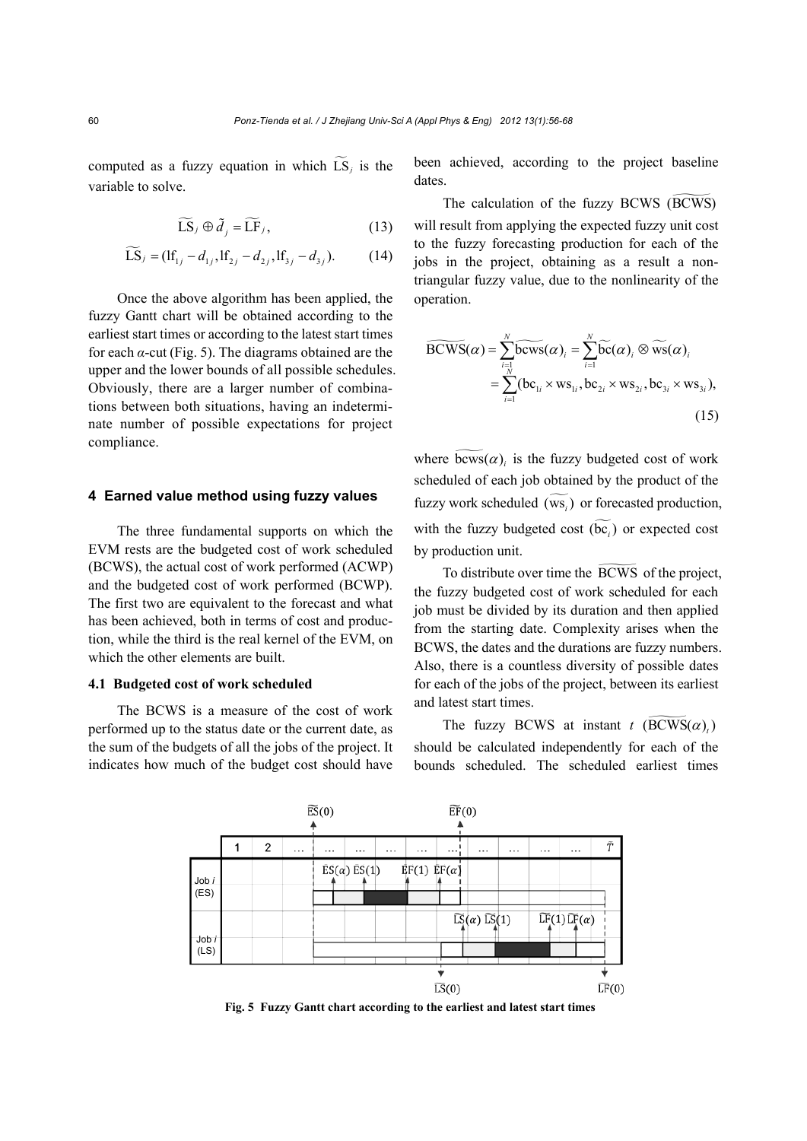computed as a fuzzy equation in which  $\widetilde{LS}_i$  is the variable to solve.

$$
\widetilde{\mathbf{LS}}_j \oplus \widetilde{d}_j = \widetilde{\mathbf{LF}}_j,\tag{13}
$$

$$
\widetilde{\text{LS}}_{j} = (\text{If}_{1j} - d_{1j}, \text{If}_{2j} - d_{2j}, \text{If}_{3j} - d_{3j}).
$$
 (14)

Once the above algorithm has been applied, the fuzzy Gantt chart will be obtained according to the earliest start times or according to the latest start times for each *α*-cut (Fig. 5). The diagrams obtained are the upper and the lower bounds of all possible schedules. Obviously, there are a larger number of combinations between both situations, having an indeterminate number of possible expectations for project compliance.

## **4 Earned value method using fuzzy values**

The three fundamental supports on which the EVM rests are the budgeted cost of work scheduled (BCWS), the actual cost of work performed (ACWP) and the budgeted cost of work performed (BCWP). The first two are equivalent to the forecast and what has been achieved, both in terms of cost and production, while the third is the real kernel of the EVM, on which the other elements are built.

#### **4.1 Budgeted cost of work scheduled**

The BCWS is a measure of the cost of work performed up to the status date or the current date, as the sum of the budgets of all the jobs of the project. It indicates how much of the budget cost should have been achieved, according to the project baseline dates.

The calculation of the fuzzy BCWS (BCWS) will result from applying the expected fuzzy unit cost to the fuzzy forecasting production for each of the jobs in the project, obtaining as a result a nontriangular fuzzy value, due to the nonlinearity of the operation.

$$
\widetilde{\text{BCWS}}(\alpha) = \sum_{i=1}^{N} \widetilde{\text{bcws}}(\alpha)_i = \sum_{i=1}^{N} \widetilde{\text{bc}}(\alpha)_i \otimes \widetilde{\text{ws}}(\alpha)_i
$$

$$
= \sum_{i=1}^{N} (\text{bc}_{1i} \times \text{ws}_{1i}, \text{bc}_{2i} \times \text{ws}_{2i}, \text{bc}_{3i} \times \text{ws}_{3i}),
$$
(15)

where  $\overline{b}$ cws( $\alpha$ ), is the fuzzy budgeted cost of work scheduled of each job obtained by the product of the fuzzy work scheduled (ws<sub>i</sub>) or forecasted production, with the fuzzy budgeted cost  $(\widetilde{bc_{i}})$  or expected cost by production unit.

To distribute over time the BCWS of the project, the fuzzy budgeted cost of work scheduled for each job must be divided by its duration and then applied from the starting date. Complexity arises when the BCWS, the dates and the durations are fuzzy numbers. Also, there is a countless diversity of possible dates for each of the jobs of the project, between its earliest and latest start times.

The fuzzy BCWS at instant  $t \left( \widetilde{BCWS}(\alpha) \right)$ should be calculated independently for each of the bounds scheduled. The scheduled earliest times



**Fig. 5 Fuzzy Gantt chart according to the earliest and latest start times**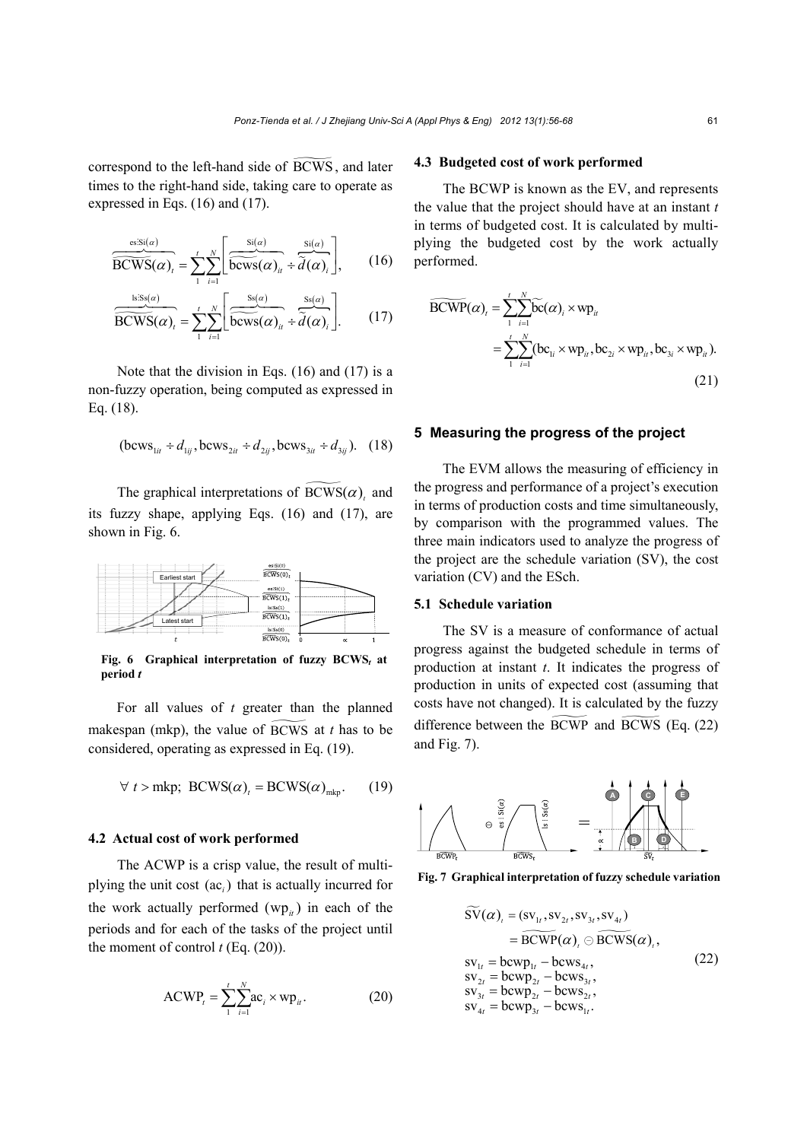correspond to the left-hand side of BCWS , and later times to the right-hand side, taking care to operate as expressed in Eqs. (16) and (17).

$$
\overbrace{\widetilde{\text{BCWS}}(\alpha)}^{\text{es:Si}(\alpha)} = \sum_{1}^{t} \sum_{i=1}^{N} \left[ \overbrace{\widetilde{\text{bcws}}(\alpha)}^{\text{Si}(\alpha)} \div \overbrace{\widetilde{d}(\alpha)}^{\text{Si}(\alpha)} \right], \qquad (16)
$$

$$
\frac{\text{ls:ss}(a)}{\widetilde{\text{BCWS}}(\alpha)_t} = \sum_{1}^{t} \sum_{i=1}^{N} \left[ \frac{\text{ss}(a)}{\widetilde{\text{bcws}}(\alpha)_{ii}} + \widetilde{d}(\alpha)_{i} \right].
$$
 (17)

Note that the division in Eqs. (16) and (17) is a non-fuzzy operation, being computed as expressed in Eq. (18).

$$
(\text{bcws}_{1it} \div d_{1ij}, \text{bcws}_{2it} \div d_{2ij}, \text{bcws}_{3it} \div d_{3ij}). \quad (18)
$$

The graphical interpretations of  $BCWS(\alpha)$ , and its fuzzy shape, applying Eqs. (16) and (17), are shown in Fig. 6.



**Fig. 6 Graphical interpretation of fuzzy BCWS***t* **at period** *t*

For all values of *t* greater than the planned makespan (mkp), the value of BCWS at *t* has to be considered, operating as expressed in Eq. (19).

$$
\forall t > m k p; BCWS(\alpha)_t = BCWS(\alpha)_{m k p}.
$$
 (19)

## **4.2 Actual cost of work performed**

The ACWP is a crisp value, the result of multiplying the unit cost (ac.) that is actually incurred for the work actually performed  $(\mathbf{wp}_{it})$  in each of the periods and for each of the tasks of the project until the moment of control  $t$  (Eq.  $(20)$ ).

$$
ACWP_{i} = \sum_{1}^{t} \sum_{i=1}^{N} ac_{i} \times wp_{ii}.
$$
 (20)

#### **4.3 Budgeted cost of work performed**

The BCWP is known as the EV, and represents the value that the project should have at an instant *t* in terms of budgeted cost. It is calculated by multiplying the budgeted cost by the work actually performed.

$$
\widetilde{\text{BCWP}}(\alpha)_t = \sum_{1}^{t} \sum_{i=1}^{N} \widetilde{\text{bc}}(\alpha)_i \times \text{wp}_u
$$
\n
$$
= \sum_{1}^{t} \sum_{i=1}^{N} (\text{bc}_{1i} \times \text{wp}_{i}, \text{bc}_{2i} \times \text{wp}_{i}, \text{bc}_{3i} \times \text{wp}_{i}).
$$
\n(21)

### **5 Measuring the progress of the project**

The EVM allows the measuring of efficiency in the progress and performance of a project's execution in terms of production costs and time simultaneously, by comparison with the programmed values. The three main indicators used to analyze the progress of the project are the schedule variation (SV), the cost variation (CV) and the ESch.

## **5.1 Schedule variation**

The SV is a measure of conformance of actual progress against the budgeted schedule in terms of production at instant *t*. It indicates the progress of production in units of expected cost (assuming that costs have not changed). It is calculated by the fuzzy difference between the BCWP and BCWS (Eq. (22) and Fig. 7).



**Fig. 7 Graphical interpretation of fuzzy schedule variation**

$$
\widetilde{SV}(\alpha)_t = (sv_{1t}, sv_{2t}, sv_{3t}, sv_{4t}) \n= BCWP(\alpha)_t \oplus BCWS(\alpha)_t, \nsv_{1t} = bccvp_{1t} - bccws_{4t}, \nsv_{2t} = bccvp_{2t} - bccws_{3t}, \nsv_{3t} = bccvp_{2t} - bccws_{2t}, \nsv_{4t} = bccvp_{3t} - bccws_{1t}.
$$
\n(22)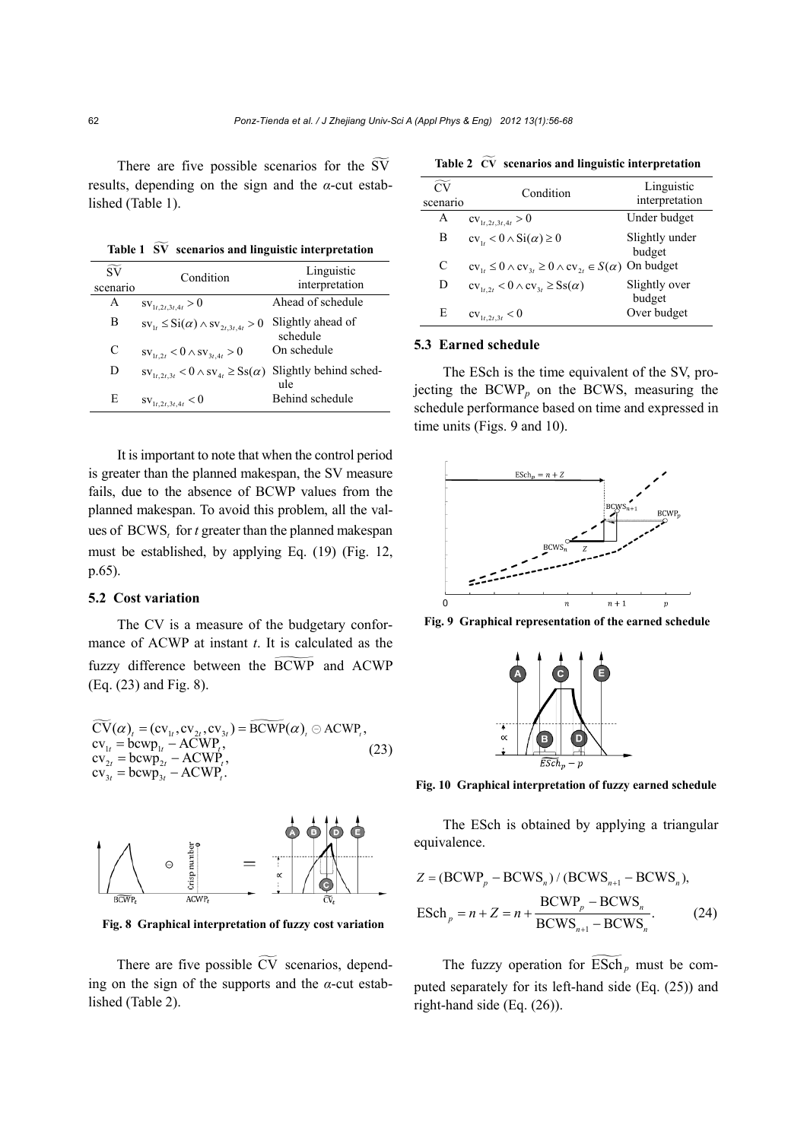There are five possible scenarios for the SV results, depending on the sign and the *α*-cut established (Table 1).

**Table 1 SV scenarios and linguistic interpretation**

| $\widetilde{\mathrm{SV}}$<br>scenario | Condition                                                               | Linguistic<br>interpretation  |
|---------------------------------------|-------------------------------------------------------------------------|-------------------------------|
| A                                     | $\text{SV}_{1t,2t,3t,4t} > 0$                                           | Ahead of schedule             |
| В                                     | $sv_{1t} \leq Si(\alpha) \wedge sv_{2t,3t,4t} > 0$                      | Slightly ahead of<br>schedule |
| C                                     | $\text{sv}_{1t,2t} < 0 \wedge \text{sv}_{3t,4t} > 0$                    | On schedule                   |
| D                                     | $\text{sv}_{1t,2t,3t} < 0 \wedge \text{sv}_{4t} \geq \text{Ss}(\alpha)$ | Slightly behind sched-<br>ule |
| E                                     | $\text{SV}_{1t,2t,3t,4t}$ < 0                                           | Behind schedule               |

It is important to note that when the control period is greater than the planned makespan, the SV measure fails, due to the absence of BCWP values from the planned makespan. To avoid this problem, all the values of BCWS, for *t* greater than the planned makespan must be established, by applying Eq. (19) (Fig. 12, p.65).

#### **5.2 Cost variation**

The CV is a measure of the budgetary conformance of ACWP at instant *t*. It is calculated as the fuzzy difference between the BCWP and ACWP (Eq. (23) and Fig. 8).

$$
\widetilde{CV}(\alpha)_t = (cv_{1t}, cv_{2t}, cv_{3t}) = \widetilde{BCWP}(\alpha)_t \odot ACWP_t, \ncv_{1t} = bcvp_{1t} - ACWP_t, \ncv_{2t} = bcvp_{2t} - ACWP_t, \ncv_{3t} = bcvp_{3t} - ACWP_t.
$$
\n(23)



**Fig. 8 Graphical interpretation of fuzzy cost variation**

There are five possible  $\widetilde{CV}$  scenarios, depending on the sign of the supports and the *α*-cut established (Table 2).

**Table 2 CV scenarios and linguistic interpretation** 

| $\overline{C}$<br>scenario | Condition                                                           | Linguistic<br>interpretation |
|----------------------------|---------------------------------------------------------------------|------------------------------|
| A                          | $cv_{1t,2t,3t,4t} > 0$                                              | Under budget                 |
| B                          | $cv_{1}<0 \wedge Si(\alpha) \geq 0$                                 | Slightly under<br>budget     |
| C                          | $cv_{1t} \leq 0 \wedge cv_{3t} \geq 0 \wedge cv_{2t} \in S(\alpha)$ | On budget                    |
| D                          | $cv_{1t,2t} < 0 \wedge cv_{3t} \geq Ss(\alpha)$                     | Slightly over<br>budget      |
| E                          | $cv_{1t,2t,3t} < 0$                                                 | Over budget                  |

#### **5.3 Earned schedule**

The ESch is the time equivalent of the SV, projecting the BCWP*<sup>p</sup>* on the BCWS, measuring the schedule performance based on time and expressed in time units (Figs. 9 and 10).



**Fig. 9 Graphical representation of the earned schedule**



**Fig. 10 Graphical interpretation of fuzzy earned schedule**

The ESch is obtained by applying a triangular equivalence.

$$
Z = (\text{BCWP}_p - \text{BCWS}_n) / (\text{BCWS}_{n+1} - \text{BCWS}_n),
$$
  
\n
$$
\text{ESch}_p = n + Z = n + \frac{\text{BCWP}_p - \text{BCWS}_n}{\text{BCWS}_{n+1} - \text{BCWS}_n}.
$$
 (24)

The fuzzy operation for  $\widetilde{\mathrm{ESch}}_p$  must be computed separately for its left-hand side (Eq. (25)) and right-hand side (Eq. (26)).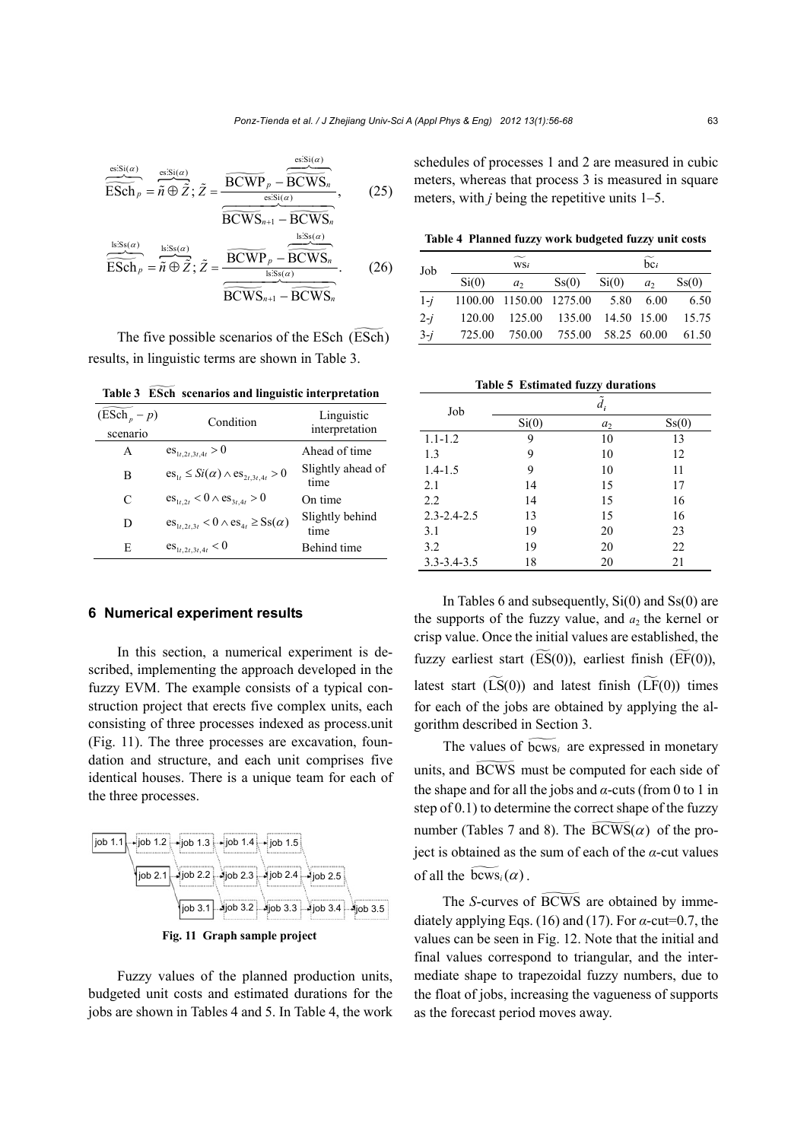$$
\frac{\overbrace{\text{essis}(a)}^{\text{ss:Si}(a)}}{\overbrace{\text{ESch}}_p = \overbrace{n}^{\text{ss:Si}(a)} \overbrace{Z}^{\text{ss:Si}(a)}} = \frac{\overbrace{\text{BCWP}}_p - \overbrace{\text{BCWS}}^{\text{ss:Si}(a)}}{\overbrace{\text{BCWS}}_{n+1} - \overbrace{\text{BCWS}}^{\text{ss:Si}(a)}}_{\text{is:Se}(a)} , \quad (25)
$$
\n
$$
\overbrace{\text{ESch}}^{\text{is:Se}(a)} = \overbrace{n \oplus \overbrace{Z}^{\text{ss:Se}(a)}}, \overbrace{\text{BCWP}}^{\text{is:Se}(a)} = \overbrace{\text{BCWS}}^{\text{is:Se}(a)}_{\text{is:Se}(a)} . \quad (26)
$$

The five possible scenarios of the ESch (ESch) results, in linguistic terms are shown in Table 3.

| $(ESch_p - p)$<br>scenario | Condition                                                               | Linguistic<br>interpretation |  |  |  |  |
|----------------------------|-------------------------------------------------------------------------|------------------------------|--|--|--|--|
| A                          | $\text{es}_{1t,2t,3t,4t} > 0$                                           | Ahead of time                |  |  |  |  |
| В                          | $\text{es}_{1t} \leq Si(\alpha) \wedge \text{es}_{2t,3t,4t} > 0$        | Slightly ahead of<br>time    |  |  |  |  |
| C                          | $\text{es}_{1t, 2t} < 0 \wedge \text{es}_{3t, 4t} > 0$                  | On time                      |  |  |  |  |
| D                          | $\text{es}_{1t,2t,3t} < 0 \wedge \text{es}_{4t} \geq \text{Ss}(\alpha)$ | Slightly behind<br>time      |  |  |  |  |
| E                          | $\text{es}_{1t,2t,3t,4t}$ < 0                                           | Behind time                  |  |  |  |  |

**Table 3 ESch scenarios and linguistic interpretation** 

#### **6 Numerical experiment results**

In this section, a numerical experiment is described, implementing the approach developed in the fuzzy EVM. The example consists of a typical construction project that erects five complex units, each consisting of three processes indexed as process.unit (Fig. 11). The three processes are excavation, foundation and structure, and each unit comprises five identical houses. There is a unique team for each of the three processes.



**Fig. 11 Graph sample project** 

Fuzzy values of the planned production units, budgeted unit costs and estimated durations for the jobs are shown in Tables 4 and 5. In Table 4, the work

schedules of processes 1 and 2 are measured in cubic meters, whereas that process 3 is measured in square meters, with *j* being the repetitive units 1–5.

**Table 4 Planned fuzzy work budgeted fuzzy unit costs**

| Job   |       | W <sub>Si</sub>                        | $\overline{\text{bc}}$ |       |       |                    |  |
|-------|-------|----------------------------------------|------------------------|-------|-------|--------------------|--|
|       | Si(0) | a <sub>2</sub>                         | S <sub>S</sub> (0)     | Si(0) | $a_2$ | S <sub>S</sub> (0) |  |
| $1-i$ |       | 1100.00 1150.00 1275.00 5.80           |                        |       | 6.00  | 6.50               |  |
| $2-i$ |       | 120.00 125.00 135.00 14.50 15.00 15.75 |                        |       |       |                    |  |
| $3-i$ |       | 725.00 750.00 755.00 58.25 60.00       |                        |       |       | 61.50              |  |

**Table 5 Estimated fuzzy durations** 

| Job               | $d_i$ |                |                    |  |  |  |  |  |
|-------------------|-------|----------------|--------------------|--|--|--|--|--|
|                   | Si(0) | a <sub>2</sub> | S <sub>S</sub> (0) |  |  |  |  |  |
| $1.1 - 1.2$       | 9     | 10             | 13                 |  |  |  |  |  |
| 1.3               | 9     | 10             | 12                 |  |  |  |  |  |
| $1.4 - 1.5$       | 9     | 10             | 11                 |  |  |  |  |  |
| 2.1               | 14    | 15             | 17                 |  |  |  |  |  |
| 2.2               | 14    | 15             | 16                 |  |  |  |  |  |
| $2.3 - 2.4 - 2.5$ | 13    | 15             | 16                 |  |  |  |  |  |
| 3.1               | 19    | 20             | 23                 |  |  |  |  |  |
| 3.2               | 19    | 20             | 22                 |  |  |  |  |  |
| $3.3 - 3.4 - 3.5$ | 18    | 20             | 21                 |  |  |  |  |  |

In Tables 6 and subsequently,  $Si(0)$  and  $Ss(0)$  are the supports of the fuzzy value, and  $a_2$  the kernel or crisp value. Once the initial values are established, the fuzzy earliest start  $(\widetilde{\mathrm{ES}}(0))$ , earliest finish  $(\widetilde{\mathrm{EF}}(0))$ , latest start  $(\widetilde{LS}(0))$  and latest finish  $(\widetilde{LF}(0))$  times for each of the jobs are obtained by applying the algorithm described in Section 3.

The values of  $\widetilde{b_{\text{cws}_i}}$  are expressed in monetary units, and BCWS must be computed for each side of the shape and for all the jobs and *α*-cuts (from 0 to 1 in step of 0.1) to determine the correct shape of the fuzzy number (Tables 7 and 8). The  $\overline{BCWS}(\alpha)$  of the project is obtained as the sum of each of the  $\alpha$ -cut values of all the  $\widetilde{b_{\text{cws}_i}(\alpha)}$ .

The *S*-curves of BCWS are obtained by immediately applying Eqs. (16) and (17). For  $\alpha$ -cut=0.7, the values can be seen in Fig. 12. Note that the initial and final values correspond to triangular, and the intermediate shape to trapezoidal fuzzy numbers, due to the float of jobs, increasing the vagueness of supports as the forecast period moves away.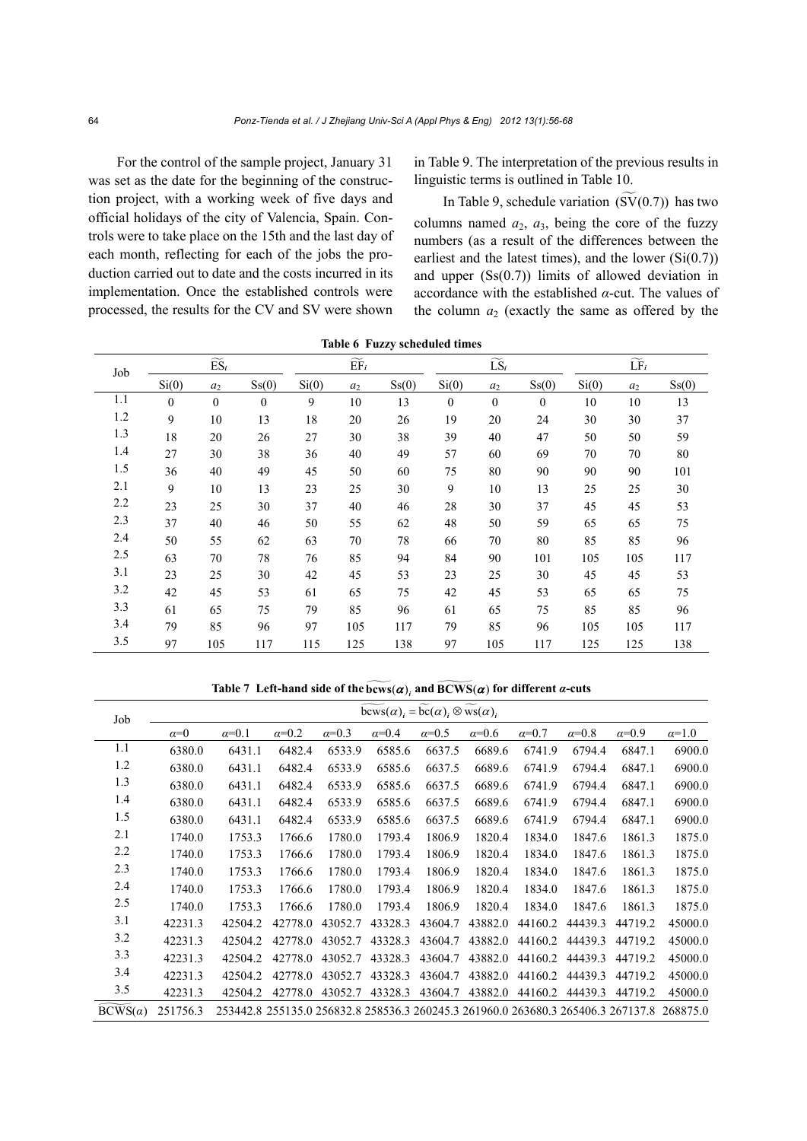For the control of the sample project, January 31 was set as the date for the beginning of the construction project, with a working week of five days and official holidays of the city of Valencia, Spain. Controls were to take place on the 15th and the last day of each month, reflecting for each of the jobs the production carried out to date and the costs incurred in its implementation. Once the established controls were processed, the results for the CV and SV were shown in Table 9. The interpretation of the previous results in linguistic terms is outlined in Table 10.

In Table 9, schedule variation  $(SV(0.7))$  has two columns named  $a_2$ ,  $a_3$ , being the core of the fuzzy numbers (as a result of the differences between the earliest and the latest times), and the lower  $(Si(0.7))$ and upper (Ss(0.7)) limits of allowed deviation in accordance with the established *α*-cut. The values of the column  $a_2$  (exactly the same as offered by the

| Job     |              | $\widetilde{\mathrm{ES}}_i$ |                    |       | $\widetilde{\text{EF}}_i$ |                    |              | $\widetilde{\text{LS}}_i$ |                    | $\widetilde{\mathrm{LF}}_i$ |       |                    |
|---------|--------------|-----------------------------|--------------------|-------|---------------------------|--------------------|--------------|---------------------------|--------------------|-----------------------------|-------|--------------------|
|         | Si(0)        | $a_2$                       | S <sub>S</sub> (0) | Si(0) | $a_2$                     | S <sub>S</sub> (0) | Si(0)        | $a_2$                     | S <sub>S</sub> (0) | Si(0)                       | $a_2$ | S <sub>S</sub> (0) |
| 1.1     | $\mathbf{0}$ | $\mathbf{0}$                | $\mathbf{0}$       | 9     | 10                        | 13                 | $\mathbf{0}$ | $\mathbf{0}$              | $\mathbf{0}$       | 10                          | 10    | 13                 |
| $1.2\,$ | 9            | 10                          | 13                 | 18    | 20                        | 26                 | 19           | 20                        | 24                 | 30                          | 30    | 37                 |
| 1.3     | 18           | 20                          | 26                 | 27    | 30                        | 38                 | 39           | 40                        | 47                 | 50                          | 50    | 59                 |
| 1.4     | 27           | 30                          | 38                 | 36    | 40                        | 49                 | 57           | 60                        | 69                 | 70                          | 70    | $80\,$             |
| 1.5     | 36           | 40                          | 49                 | 45    | 50                        | 60                 | 75           | 80                        | 90                 | 90                          | 90    | 101                |
| 2.1     | 9            | 10                          | 13                 | 23    | 25                        | 30                 | 9            | 10                        | 13                 | 25                          | 25    | 30                 |
| 2.2     | 23           | 25                          | 30                 | 37    | 40                        | 46                 | 28           | 30                        | 37                 | 45                          | 45    | 53                 |
| 2.3     | 37           | 40                          | 46                 | 50    | 55                        | 62                 | 48           | 50                        | 59                 | 65                          | 65    | 75                 |
| 2.4     | 50           | 55                          | 62                 | 63    | 70                        | $78\,$             | 66           | 70                        | 80                 | 85                          | 85    | 96                 |
| 2.5     | 63           | 70                          | 78                 | 76    | 85                        | 94                 | 84           | 90                        | 101                | 105                         | 105   | 117                |
| 3.1     | 23           | 25                          | 30                 | 42    | 45                        | 53                 | 23           | 25                        | 30                 | 45                          | 45    | 53                 |
| 3.2     | 42           | 45                          | 53                 | 61    | 65                        | 75                 | 42           | 45                        | 53                 | 65                          | 65    | 75                 |
| 3.3     | 61           | 65                          | 75                 | 79    | 85                        | 96                 | 61           | 65                        | 75                 | 85                          | 85    | 96                 |
| 3.4     | 79           | 85                          | 96                 | 97    | 105                       | 117                | 79           | 85                        | 96                 | 105                         | 105   | 117                |
| 3.5     | 97           | 105                         | 117                | 115   | 125                       | 138                | 97           | 105                       | 117                | 125                         | 125   | 138                |

**Table 6 Fuzzy scheduled times** 

**Table 7** Left-hand side of the  $\widetilde{bews}(\alpha)$ , and  $\widetilde{BCWS}(\alpha)$  for different *α*-cuts

| Job            | $bcws(\alpha)_i = bc(\alpha)_i \otimes ws(\alpha)_i$ |                                                                                           |              |              |              |              |              |              |              |              |              |  |
|----------------|------------------------------------------------------|-------------------------------------------------------------------------------------------|--------------|--------------|--------------|--------------|--------------|--------------|--------------|--------------|--------------|--|
|                | $\alpha=0$                                           | $\alpha=0.1$                                                                              | $\alpha=0.2$ | $\alpha=0.3$ | $\alpha=0.4$ | $\alpha=0.5$ | $\alpha=0.6$ | $\alpha=0.7$ | $\alpha=0.8$ | $\alpha=0.9$ | $\alpha=1.0$ |  |
| 1.1            | 6380.0                                               | 6431.1                                                                                    | 6482.4       | 6533.9       | 6585.6       | 6637.5       | 6689.6       | 6741.9       | 6794.4       | 6847.1       | 6900.0       |  |
| 1.2            | 6380.0                                               | 6431.1                                                                                    | 6482.4       | 6533.9       | 6585.6       | 6637.5       | 6689.6       | 6741.9       | 6794.4       | 6847.1       | 6900.0       |  |
| 1.3            | 6380.0                                               | 6431.1                                                                                    | 6482.4       | 6533.9       | 6585.6       | 6637.5       | 6689.6       | 6741.9       | 6794.4       | 6847.1       | 6900.0       |  |
| 1.4            | 6380.0                                               | 6431.1                                                                                    | 6482.4       | 6533.9       | 6585.6       | 6637.5       | 6689.6       | 6741.9       | 6794.4       | 6847.1       | 6900.0       |  |
| 1.5            | 6380.0                                               | 6431.1                                                                                    | 6482.4       | 6533.9       | 6585.6       | 6637.5       | 6689.6       | 6741.9       | 6794.4       | 6847.1       | 6900.0       |  |
| 2.1            | 1740.0                                               | 1753.3                                                                                    | 1766.6       | 1780.0       | 1793.4       | 1806.9       | 1820.4       | 1834.0       | 1847.6       | 1861.3       | 1875.0       |  |
| 2.2            | 1740.0                                               | 1753.3                                                                                    | 1766.6       | 1780.0       | 1793.4       | 1806.9       | 1820.4       | 1834.0       | 1847.6       | 1861.3       | 1875.0       |  |
| 2.3            | 1740.0                                               | 1753.3                                                                                    | 1766.6       | 1780.0       | 1793.4       | 1806.9       | 1820.4       | 1834.0       | 1847.6       | 1861.3       | 1875.0       |  |
| 2.4            | 1740.0                                               | 1753.3                                                                                    | 1766.6       | 1780.0       | 1793.4       | 1806.9       | 1820.4       | 1834.0       | 1847.6       | 1861.3       | 1875.0       |  |
| 2.5            | 1740.0                                               | 1753.3                                                                                    | 1766.6       | 1780.0       | 1793.4       | 1806.9       | 1820.4       | 1834.0       | 1847.6       | 1861.3       | 1875.0       |  |
| 3.1            | 42231.3                                              | 42504.2                                                                                   | 42778.0      | 43052.7      | 43328.3      | 43604.7      | 43882.0      | 44160.2      | 44439.3      | 44719.2      | 45000.0      |  |
| 3.2            | 42231.3                                              | 42504.2                                                                                   | 42778.0      | 43052.7      | 43328.3      | 43604.7      | 43882.0      | 44160.2      | 44439.3      | 44719.2      | 45000.0      |  |
| 3.3            | 42231.3                                              | 42504.2                                                                                   | 42778.0      | 43052.7      | 43328.3      | 43604.7      | 43882.0      | 44160.2      | 44439.3      | 44719.2      | 45000.0      |  |
| 3.4            | 42231.3                                              | 42504.2                                                                                   | 42778.0      | 43052.7      | 43328.3      | 43604.7      | 43882.0      | 44160.2      | 44439.3      | 44719.2      | 45000.0      |  |
| 3.5            | 42231.3                                              | 42504.2                                                                                   | 42778.0      | 43052.7      | 43328.3      | 43604.7      | 43882.0      | 44160.2      | 44439.3      | 44719.2      | 45000.0      |  |
| $BCWS(\alpha)$ | 251756.3                                             | 253442.8 255135.0 256832.8 258536.3 260245.3 261960.0 263680.3 265406.3 267137.8 268875.0 |              |              |              |              |              |              |              |              |              |  |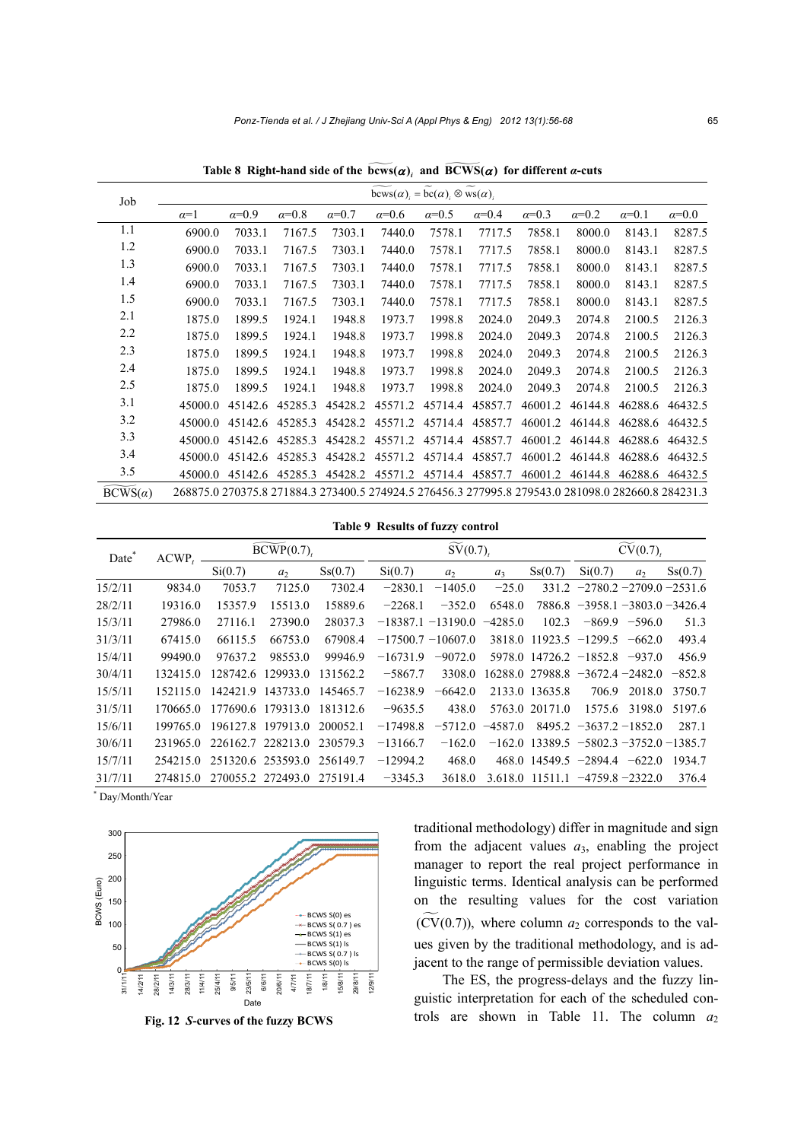**Table 8 Right-hand side of the**  $\widetilde{bccws}(\alpha)$ **, and**  $\widetilde{BCWS}(\alpha)$  **for different** *α***-cuts** 

| Job            | $bcws(\alpha) = bc(\alpha) \otimes ws(\alpha)$ .                                                   |              |              |              |              |              |              |              |              |              |              |  |
|----------------|----------------------------------------------------------------------------------------------------|--------------|--------------|--------------|--------------|--------------|--------------|--------------|--------------|--------------|--------------|--|
|                | $\alpha=1$                                                                                         | $\alpha=0.9$ | $\alpha=0.8$ | $\alpha=0.7$ | $\alpha=0.6$ | $\alpha=0.5$ | $\alpha=0.4$ | $\alpha=0.3$ | $\alpha=0.2$ | $\alpha=0.1$ | $\alpha=0.0$ |  |
| 1.1            | 6900.0                                                                                             | 7033.1       | 7167.5       | 7303.1       | 7440.0       | 7578.1       | 7717.5       | 7858.1       | 8000.0       | 8143.1       | 8287.5       |  |
| 1.2            | 6900.0                                                                                             | 7033.1       | 7167.5       | 7303.1       | 7440.0       | 7578.1       | 7717.5       | 7858.1       | 8000.0       | 8143.1       | 8287.5       |  |
| 1.3            | 6900.0                                                                                             | 7033.1       | 7167.5       | 7303.1       | 7440.0       | 7578.1       | 7717.5       | 7858.1       | 8000.0       | 8143.1       | 8287.5       |  |
| 1.4            | 6900.0                                                                                             | 7033.1       | 7167.5       | 7303.1       | 7440.0       | 7578.1       | 7717.5       | 7858.1       | 8000.0       | 8143.1       | 8287.5       |  |
| 1.5            | 6900.0                                                                                             | 7033.1       | 7167.5       | 7303.1       | 7440.0       | 7578.1       | 7717.5       | 7858.1       | 8000.0       | 8143.1       | 8287.5       |  |
| 2.1            | 1875.0                                                                                             | 1899.5       | 1924.1       | 1948.8       | 1973.7       | 1998.8       | 2024.0       | 2049.3       | 2074.8       | 2100.5       | 2126.3       |  |
| 2.2            | 1875.0                                                                                             | 1899.5       | 1924.1       | 1948.8       | 1973.7       | 1998.8       | 2024.0       | 2049.3       | 2074.8       | 2100.5       | 2126.3       |  |
| 2.3            | 1875.0                                                                                             | 1899.5       | 1924.1       | 1948.8       | 1973.7       | 1998.8       | 2024.0       | 2049.3       | 2074.8       | 2100.5       | 2126.3       |  |
| 2.4            | 1875.0                                                                                             | 1899.5       | 1924.1       | 1948.8       | 1973.7       | 1998.8       | 2024.0       | 2049.3       | 2074.8       | 2100.5       | 2126.3       |  |
| 2.5            | 1875.0                                                                                             | 1899.5       | 1924.1       | 1948.8       | 1973.7       | 1998.8       | 2024.0       | 2049.3       | 2074.8       | 2100.5       | 2126.3       |  |
| 3.1            | 45000.0                                                                                            | 45142.6      | 45285.3      | 45428.2      | 45571.2      | 45714.4      | 45857.7      | 46001.2      | 46144.8      | 46288.6      | 46432.5      |  |
| 3.2            | 45000.0                                                                                            | 45142.6      | 45285.3      | 45428.2      | 45571.2      | 45714.4      | 45857.7      | 46001.2      | 46144.8      | 46288.6      | 46432.5      |  |
| 3.3            | 45000.0                                                                                            | 45142.6      | 45285.3      | 45428.2      | 45571.2      | 45714.4      | 45857.7      | 46001.2      | 46144.8      | 46288.6      | 46432.5      |  |
| 3.4            | 45000.0                                                                                            | 45142.6      | 45285.3      | 45428.2      | 45571.2      | 45714.4      | 45857.7      | 46001.2      | 46144.8      | 46288.6      | 46432.5      |  |
| 3.5            | 45000.0                                                                                            | 45142.6      | 45285.3      | 45428.2      | 45571.2      | 45714.4      | 45857.7      | 46001.2      | 46144.8      | 46288.6      | 46432.5      |  |
| $BCWS(\alpha)$ | 268875.0 270375.8 271884.3 273400.5 274924.5 276456.3 277995.8 279543.0 281098.0 282660.8 284231.3 |              |              |              |              |              |              |              |              |              |              |  |

## **Table 9 Results of fuzzy control**

| Date <sup>®</sup> | $ACWP_t$ . |          | $\text{BCWP}(0.7)$                  |          |            | $\widetilde{\mathrm{SV}}(0.7)_{t}$ |                     | $\widetilde{\mathrm{CV}}(0.7)$ ,               |                                  |                 |          |
|-------------------|------------|----------|-------------------------------------|----------|------------|------------------------------------|---------------------|------------------------------------------------|----------------------------------|-----------------|----------|
|                   |            | Si(0.7)  | a <sub>2</sub>                      | Ss(0.7)  | Si(0.7)    | a <sub>2</sub>                     | a <sub>3</sub>      | Ss(0.7)                                        | Si(0.7)                          | a <sub>2</sub>  | Ss(0.7)  |
| 15/2/11           | 9834.0     | 7053.7   | 7125.0                              | 7302.4   | $-2830.1$  | $-1405.0$                          | $-25.0$             |                                                | $331.2 -2780.2 -2709.0 -2531.6$  |                 |          |
| 28/2/11           | 19316.0    | 15357.9  | 15513.0                             | 15889.6  | $-2268.1$  | $-352.0$                           | 6548.0              |                                                | $7886.8 -3958.1 -3803.0 -3426.4$ |                 |          |
| 15/3/11           | 27986.0    | 27116.1  | 27390.0                             | 28037.3  |            | $-18387.1 - 13190.0$               | $-4285.0$           | 102.3                                          |                                  | $-869.9 -596.0$ | 51.3     |
| 31/3/11           | 67415.0    | 66115.5  | 66753.0                             | 67908.4  |            | $-17500.7 - 10607.0$               |                     | $3818.0$ 11923.5 $-1299.5$                     |                                  | $-662.0$        | 493.4    |
| 15/4/11           | 99490.0    | 97637.2  | 98553.0                             | 99946.9  | $-16731.9$ | $-9072.0$                          |                     | $5978.0$ 14726.2 $-1852.8$ $-937.0$            |                                  |                 | 456.9    |
| 30/4/11           | 132415.0   | 128742.6 | 129933.0                            | 131562.2 | $-5867.7$  | 3308.0                             |                     | $16288.0$ 27988.8 $-3672.4$ $-2482.0$          |                                  |                 | $-852.8$ |
| 15/5/11           | 152115.0   |          | 142421.9 143733.0                   | 145465.7 | $-16238.9$ | $-6642.0$                          |                     | 2133.0 13635.8                                 | 706.9                            | 2018.0          | 3750.7   |
| 31/5/11           | 170665.0   |          | 177690.6 179313.0                   | 181312.6 | $-9635.5$  | 438.0                              |                     | 5763.0 20171.0                                 |                                  | 1575.6 3198.0   | 5197.6   |
| 15/6/11           | 199765.0   |          | 196127.8 197913.0                   | 200052.1 | $-17498.8$ |                                    | $-5712.0$ $-4587.0$ |                                                | $8495.2 -3637.2 -1852.0$         |                 | 287.1    |
| 30/6/11           | 231965.0   |          | 226162.7 228213.0                   | 230579.3 | $-13166.7$ | $-162.0$                           |                     | $-162.0$ 13389.5 $-5802.3$ $-3752.0$ $-1385.7$ |                                  |                 |          |
| 15/7/11           | 254215.0   |          | 251320.6 253593.0                   | 256149.7 | $-12994.2$ | 468.0                              |                     | $468.0$ 14549.5 $-2894.4$ $-622.0$             |                                  |                 | 1934.7   |
| 31/7/11           |            |          | 274815.0 270055.2 272493.0 275191.4 |          | $-3345.3$  | 3618.0                             |                     | $3.618.0$ $11511.1$ $-4759.8$ $-2322.0$        |                                  |                 | 376.4    |

\* Day/Month/Year



**Fig. 12** *S***-curves of the fuzzy BCWS** 

traditional methodology) differ in magnitude and sign from the adjacent values  $a_3$ , enabling the project manager to report the real project performance in linguistic terms. Identical analysis can be performed on the resulting values for the cost variation  $(CV(0.7))$ , where column  $a_2$  corresponds to the values given by the traditional methodology, and is adjacent to the range of permissible deviation values.

The ES, the progress-delays and the fuzzy linguistic interpretation for each of the scheduled controls are shown in Table 11. The column  $a_2$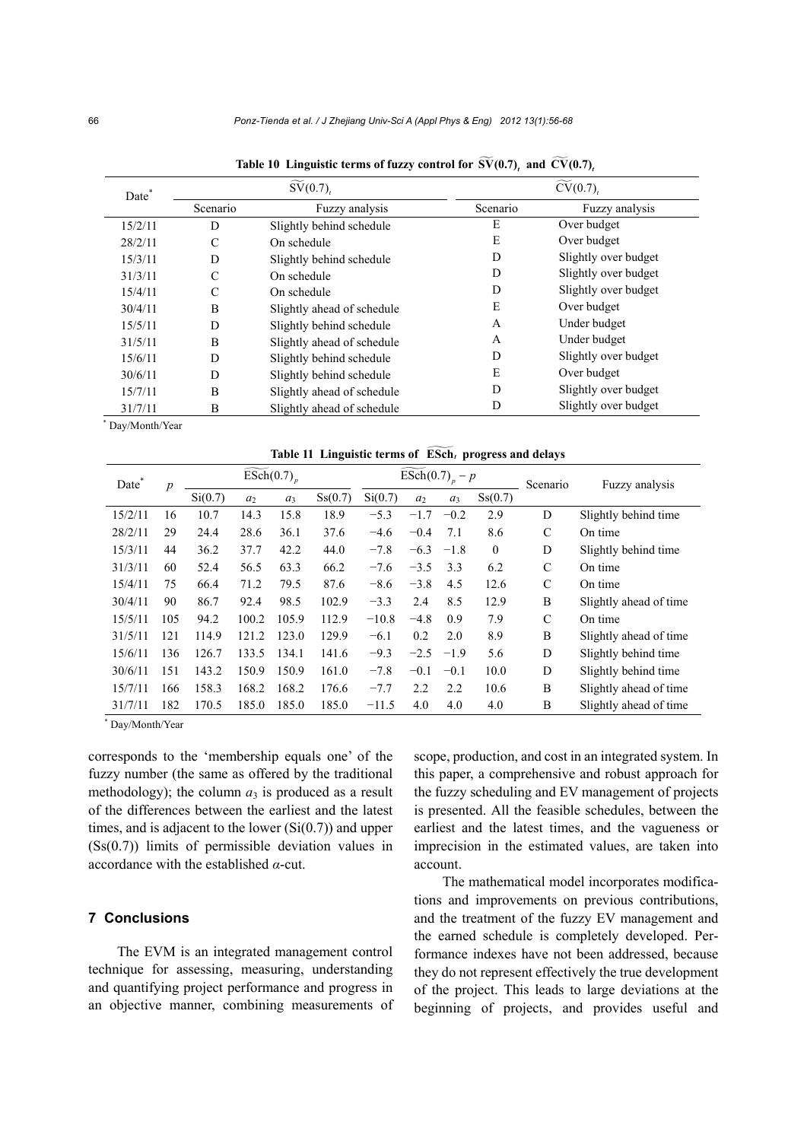| Date*   |               | $\widetilde{\mathrm{SV}}(0.7)$ |          | $\overline{\widetilde{\text{CV}}(0.7)}$ |
|---------|---------------|--------------------------------|----------|-----------------------------------------|
|         | Scenario      | Fuzzy analysis                 | Scenario | Fuzzy analysis                          |
| 15/2/11 | D             | Slightly behind schedule       | E        | Over budget                             |
| 28/2/11 | $\mathcal{C}$ | On schedule                    | E        | Over budget                             |
| 15/3/11 | D             | Slightly behind schedule       | D        | Slightly over budget                    |
| 31/3/11 | $\mathcal{C}$ | On schedule                    | D        | Slightly over budget                    |
| 15/4/11 | C             | On schedule                    | D        | Slightly over budget                    |
| 30/4/11 | B             | Slightly ahead of schedule     | E        | Over budget                             |
| 15/5/11 | D             | Slightly behind schedule       | A        | Under budget                            |
| 31/5/11 | B             | Slightly ahead of schedule     | A        | Under budget                            |
| 15/6/11 | D             | Slightly behind schedule       | D        | Slightly over budget                    |
| 30/6/11 | D             | Slightly behind schedule       | E        | Over budget                             |
| 15/7/11 | B             | Slightly ahead of schedule     | D        | Slightly over budget                    |
| 31/7/11 | B             | Slightly ahead of schedule     | D        | Slightly over budget                    |

Table 10 Linguistic terms of fuzzy control for  $\widetilde{SV}(0.7)$ , and  $\widetilde{CV}(0.7)$ ,

 \* Day/Month/Year

Table 11 Linguistic terms of  $\widetilde{\mathrm{ESch}}_t$  progress and delays

| Date <sup>7</sup><br>$\boldsymbol{p}$ |     |         | $ESch(0.7)$ <sub>n</sub> |       |         |         | $\widehat{\text{ESch}}(0.7)_{p} - p$ |        | Scenario     | Fuzzy analysis |                         |  |
|---------------------------------------|-----|---------|--------------------------|-------|---------|---------|--------------------------------------|--------|--------------|----------------|-------------------------|--|
|                                       |     | Si(0.7) | a <sub>2</sub>           | $a_3$ | Ss(0.7) | Si(0.7) | a <sub>2</sub>                       | $a_3$  | Ss(0.7)      |                |                         |  |
| 15/2/11                               | 16  | 10.7    | 14.3                     | 15.8  | 18.9    | $-5.3$  | $-1.7$                               | $-0.2$ | 2.9          | D              | Slightly behind time    |  |
| 28/2/11                               | 29  | 24.4    | 28.6                     | 36.1  | 37.6    | $-4.6$  | $-0.4$                               | 7.1    | 8.6          | $\mathcal{C}$  | On time                 |  |
| 15/3/11                               | 44  | 36.2    | 37.7                     | 42.2  | 44.0    | $-7.8$  | $-6.3$                               | $-1.8$ | $\mathbf{0}$ | D              | Slightly behind time    |  |
| 31/3/11                               | 60  | 52.4    | 56.5                     | 63.3  | 66.2    | $-7.6$  | $-3.5$                               | 3.3    | 6.2          | $\mathcal{C}$  | On time                 |  |
| 15/4/11                               | 75  | 66.4    | 71.2                     | 79.5  | 87.6    | $-8.6$  | $-3.8$                               | 4.5    | 12.6         | $\mathcal{C}$  | On time                 |  |
| 30/4/11                               | 90  | 86.7    | 92.4                     | 98.5  | 102.9   | $-3.3$  | 2.4                                  | 8.5    | 12.9         | B              | Slightly ahead of time  |  |
| 15/5/11                               | 105 | 94.2    | 100.2                    | 105.9 | 112.9   | $-10.8$ | $-4.8$                               | 0.9    | 7.9          | $\mathcal{C}$  | On time                 |  |
| 31/5/11                               | 121 | 114.9   | 121.2                    | 123.0 | 129.9   | $-6.1$  | 0.2                                  | 2.0    | 8.9          | B              | Slightly ahead of time  |  |
| 15/6/11                               | 136 | 126.7   | 133.5                    | 134.1 | 141.6   | $-9.3$  | $-2.5$                               | $-1.9$ | 5.6          | D              | Slightly behind time    |  |
| 30/6/11                               | 151 | 143.2   | 150.9                    | 150.9 | 161.0   | $-7.8$  | $-0.1$                               | $-0.1$ | 10.0         | D              | Slightly behind time    |  |
| 15/7/11                               | 166 | 158.3   | 168.2                    | 168.2 | 176.6   | $-7.7$  | 2.2                                  | 2.2    | 10.6         | B              | Slightly ahead of time. |  |
| 31/7/11                               | 182 | 170.5   | 185.0                    | 185.0 | 185.0   | $-11.5$ | 4.0                                  | 4.0    | 4.0          | B              | Slightly ahead of time. |  |

\* Day/Month/Year

corresponds to the 'membership equals one' of the fuzzy number (the same as offered by the traditional methodology); the column  $a_3$  is produced as a result of the differences between the earliest and the latest times, and is adjacent to the lower  $(Si(0.7))$  and upper (Ss(0.7)) limits of permissible deviation values in accordance with the established *α*-cut.

# **7 Conclusions**

The EVM is an integrated management control technique for assessing, measuring, understanding and quantifying project performance and progress in an objective manner, combining measurements of scope, production, and cost in an integrated system. In this paper, a comprehensive and robust approach for the fuzzy scheduling and EV management of projects is presented. All the feasible schedules, between the earliest and the latest times, and the vagueness or imprecision in the estimated values, are taken into account.

The mathematical model incorporates modifications and improvements on previous contributions, and the treatment of the fuzzy EV management and the earned schedule is completely developed. Performance indexes have not been addressed, because they do not represent effectively the true development of the project. This leads to large deviations at the beginning of projects, and provides useful and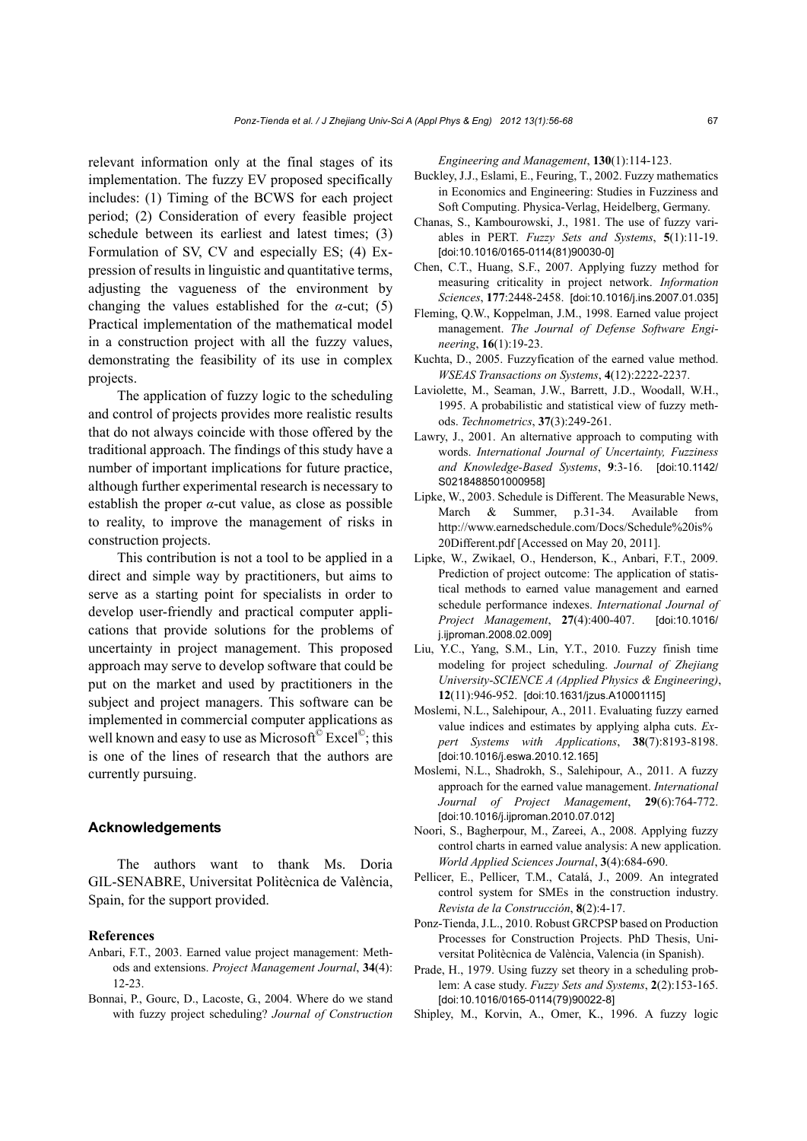relevant information only at the final stages of its implementation. The fuzzy EV proposed specifically includes: (1) Timing of the BCWS for each project period; (2) Consideration of every feasible project schedule between its earliest and latest times; (3) Formulation of SV, CV and especially ES; (4) Expression of results in linguistic and quantitative terms, adjusting the vagueness of the environment by changing the values established for the *α*-cut; (5) Practical implementation of the mathematical model in a construction project with all the fuzzy values, demonstrating the feasibility of its use in complex projects.

The application of fuzzy logic to the scheduling and control of projects provides more realistic results that do not always coincide with those offered by the traditional approach. The findings of this study have a number of important implications for future practice, although further experimental research is necessary to establish the proper *α*-cut value, as close as possible to reality, to improve the management of risks in construction projects.

This contribution is not a tool to be applied in a direct and simple way by practitioners, but aims to serve as a starting point for specialists in order to develop user-friendly and practical computer applications that provide solutions for the problems of uncertainty in project management. This proposed approach may serve to develop software that could be put on the market and used by practitioners in the subject and project managers. This software can be implemented in commercial computer applications as well known and easy to use as Microsoft<sup>©</sup> Excel<sup>©</sup>; this is one of the lines of research that the authors are currently pursuing.

## **Acknowledgements**

The authors want to thank Ms. Doria GIL-SENABRE, Universitat Politècnica de València, Spain, for the support provided.

#### **References**

- Anbari, F.T., 2003. Earned value project management: Methods and extensions. *Project Management Journal*, **34**(4): 12-23.
- Bonnai, P., Gourc, D., Lacoste, G., 2004. Where do we stand with fuzzy project scheduling? *Journal of Construction*

*Engineering and Management*, **130**(1):114-123.

- Buckley, J.J., Eslami, E., Feuring, T., 2002. Fuzzy mathematics in Economics and Engineering: Studies in Fuzziness and Soft Computing. Physica-Verlag, Heidelberg, Germany.
- Chanas, S., Kambourowski, J., 1981. The use of fuzzy variables in PERT. *Fuzzy Sets and Systems*, **5**(1):11-19. [doi:10.1016/0165-0114(81)90030-0]
- Chen, C.T., Huang, S.F., 2007. Applying fuzzy method for measuring criticality in project network. *Information Sciences*, **177**:2448-2458. [doi:10.1016/j.ins.2007.01.035]
- Fleming, Q.W., Koppelman, J.M., 1998. Earned value project management. *The Journal of Defense Software Engineering*, **16**(1):19-23.
- Kuchta, D., 2005. Fuzzyfication of the earned value method. *WSEAS Transactions on Systems*, **4**(12):2222-2237.
- Laviolette, M., Seaman, J.W., Barrett, J.D., Woodall, W.H., 1995. A probabilistic and statistical view of fuzzy methods. *Technometrics*, **37**(3):249-261.
- Lawry, J., 2001. An alternative approach to computing with words. *International Journal of Uncertainty, Fuzziness and Knowledge-Based Systems*, **9**:3-16. [doi:10.1142/ S0218488501000958]
- Lipke, W., 2003. Schedule is Different. The Measurable News, March & Summer, p.31-34. Available from http://www.earnedschedule.com/Docs/Schedule%20is% 20Different.pdf [Accessed on May 20, 2011].
- Lipke, W., Zwikael, O., Henderson, K., Anbari, F.T., 2009. Prediction of project outcome: The application of statistical methods to earned value management and earned schedule performance indexes. *International Journal of Project Management*, **27**(4):400-407. [doi:10.1016/ j.ijproman.2008.02.009]
- Liu, Y.C., Yang, S.M., Lin, Y.T., 2010. Fuzzy finish time modeling for project scheduling. *Journal of Zhejiang University-SCIENCE A (Applied Physics & Engineering)*, **12**(11):946-952. [doi:10.1631/jzus.A10001115]
- Moslemi, N.L., Salehipour, A., 2011. Evaluating fuzzy earned value indices and estimates by applying alpha cuts. *Expert Systems with Applications*, **38**(7):8193-8198. [doi:10.1016/j.eswa.2010.12.165]
- Moslemi, N.L., Shadrokh, S., Salehipour, A., 2011. A fuzzy approach for the earned value management. *International Journal of Project Management*, **29**(6):764-772. [doi:10.1016/j.ijproman.2010.07.012]
- Noori, S., Bagherpour, M., Zareei, A., 2008. Applying fuzzy control charts in earned value analysis: A new application. *World Applied Sciences Journal*, **3**(4):684-690.
- Pellicer, E., Pellicer, T.M., Catalá, J., 2009. An integrated control system for SMEs in the construction industry. *Revista de la Construcción*, **8**(2):4-17.
- Ponz-Tienda, J.L., 2010. Robust GRCPSP based on Production Processes for Construction Projects. PhD Thesis, Universitat Politècnica de València, Valencia (in Spanish).
- Prade, H., 1979. Using fuzzy set theory in a scheduling problem: A case study. *Fuzzy Sets and Systems*, **2**(2):153-165. [doi:10.1016/0165-0114(79)90022-8]
- Shipley, M., Korvin, A., Omer, K., 1996. A fuzzy logic